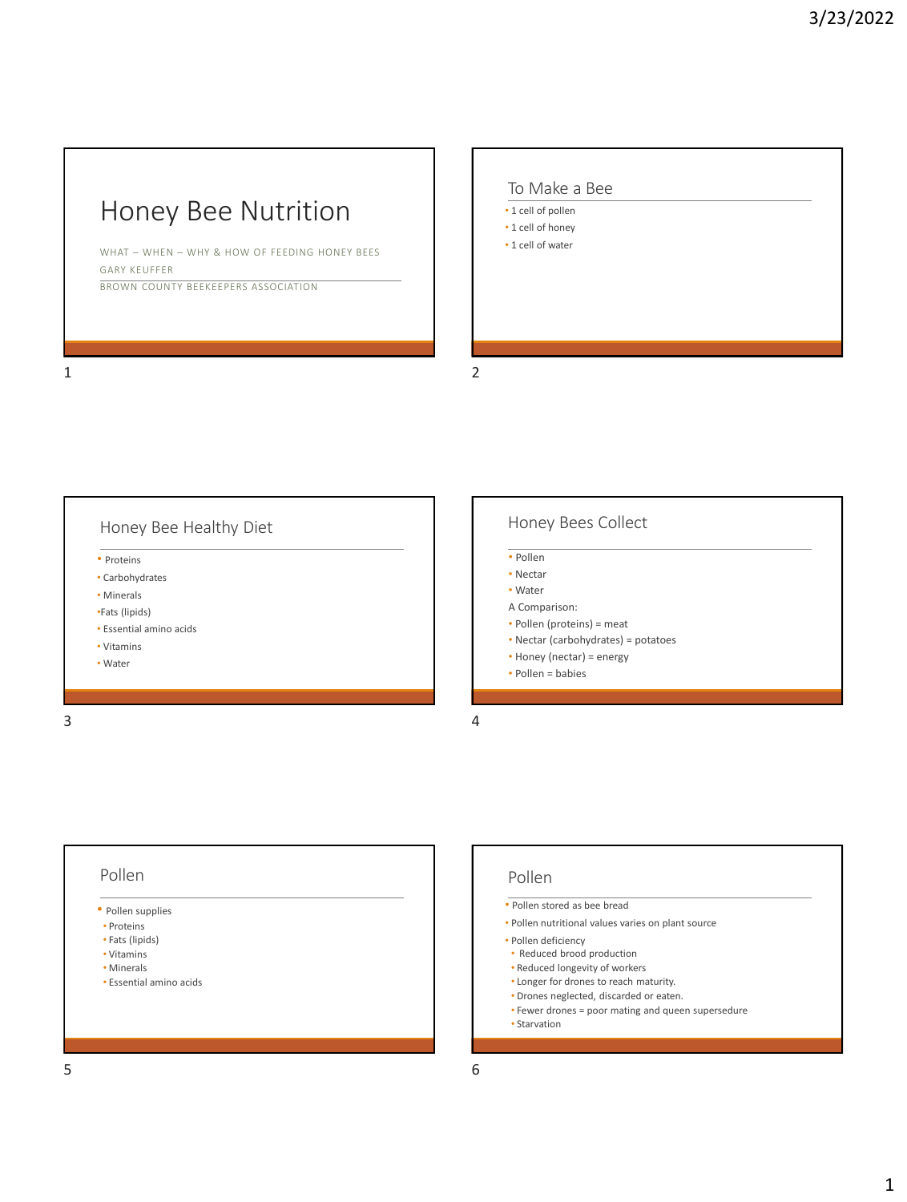### Honey Bee Nutrition

WHAT – WHEN – WHY & HOW OF FEEDING HONEY BEES GARY KEUFFER BROWN COUNTY BEEKEEPERS ASSOCIATION

#### $1$  2

## To Make a Bee • 1 cell of pollen • 1 cell of honey • 1 cell of water



#### Pollen

- Pollen supplies
- Proteins
- Fats (lipids)
- Vitamins
- Minerals • Essential amino acids
- 

#### Pollen

- Pollen stored as bee bread
- Pollen nutritional values varies on plant source
- Pollen deficiency
	- Reduced brood production
	- Reduced longevity of workers
	- Longer for drones to reach maturity.
	- Drones neglected, discarded or eaten.
	- Fewer drones = poor mating and queen supersedure
- Starvation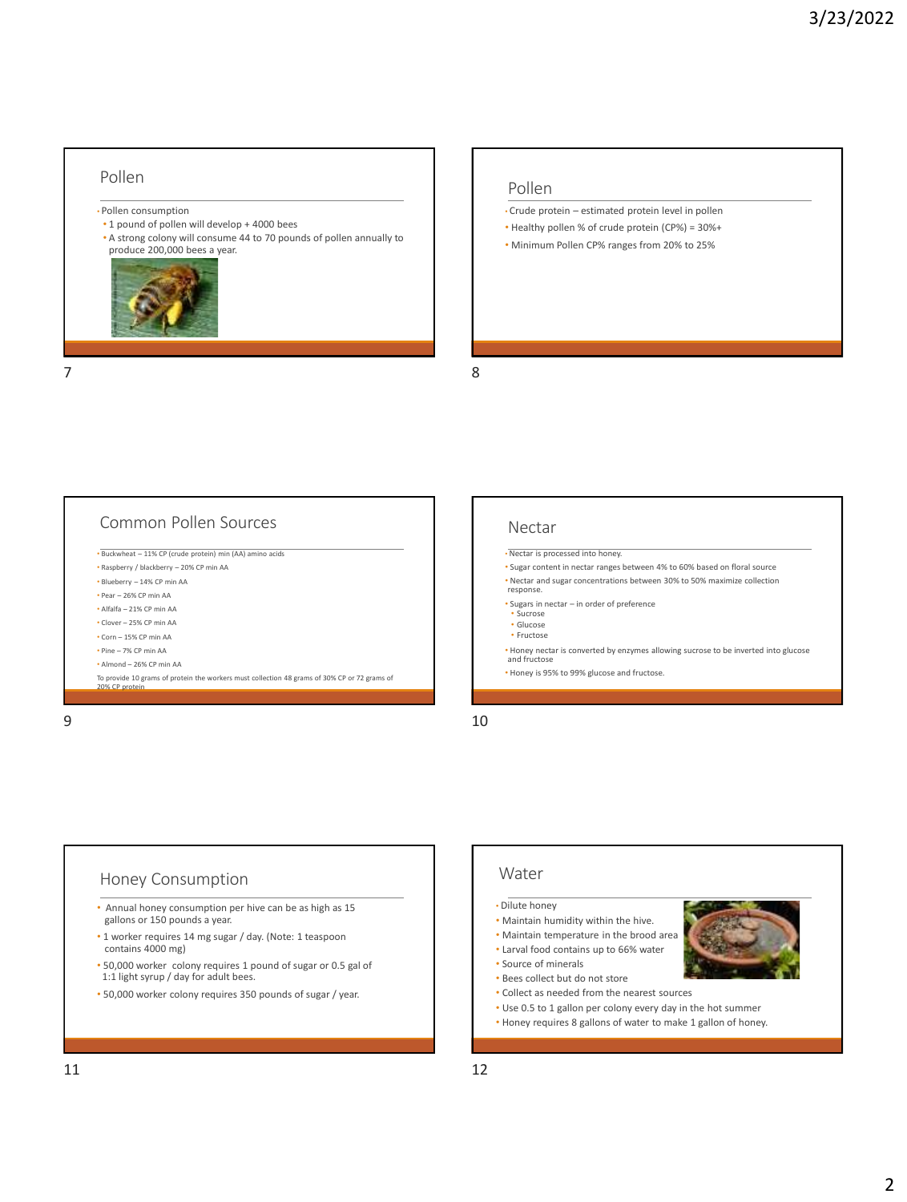#### Pollen

- Pollen consumption
- 1 pound of pollen will develop + 4000 bees
- A strong colony will consume 44 to 70 pounds of pollen annually to produce 200,000 bees a year.



#### Pollen

- Crude protein estimated protein level in pollen
- Healthy pollen % of crude protein (CP%) = 30%+
- Minimum Pollen CP% ranges from 20% to 25%

 $7$ 

#### Common Pollen Sources

- Buckwheat 11% CP (crude protein) min (AA) amino acids
- Raspberry / blackberry 20% CP min AA
- Blueberry 14% CP min AA
- Pear 26% CP min AA • Alfalfa – 21% CP min AA
- Clover 25% CP min AA
- Corn 15% CP min AA
- Pine 7% CP min AA
- Almond 26% CP min AA
- 
- To provide 10 grams of protein the workers must collection 48 grams of 30% CP or 72 grams of 20% CP protein

#### Nectar

- Nectar is processed into honey.
- Sugar content in nectar ranges between 4% to 60% based on floral source
- Nectar and sugar concentrations between 30% to 50% maximize collection response.
- Sugars in nectar in order of preference
- Sucrose • Glucose
- Fructose
- Honey nectar is converted by enzymes allowing sucrose to be inverted into glucose and fructose
- Honey is 95% to 99% glucose and fructose.
- 

 $9$  10

#### Honey Consumption

- Annual honey consumption per hive can be as high as 15 gallons or 150 pounds a year.
- 1 worker requires 14 mg sugar / day. (Note: 1 teaspoon contains 4000 mg)
- 50,000 worker colony requires 1 pound of sugar or 0.5 gal of 1:1 light syrup / day for adult bees.
- 50,000 worker colony requires 350 pounds of sugar / year.

#### Water

- Dilute honey
- Maintain humidity within the hive.
- Maintain temperature in the brood area • Larval food contains up to 66% water
- Source of minerals
- 
- Bees collect but do not store
- Collect as needed from the nearest sources
- Use 0.5 to 1 gallon per colony every day in the hot summer • Honey requires 8 gallons of water to make 1 gallon of honey.
-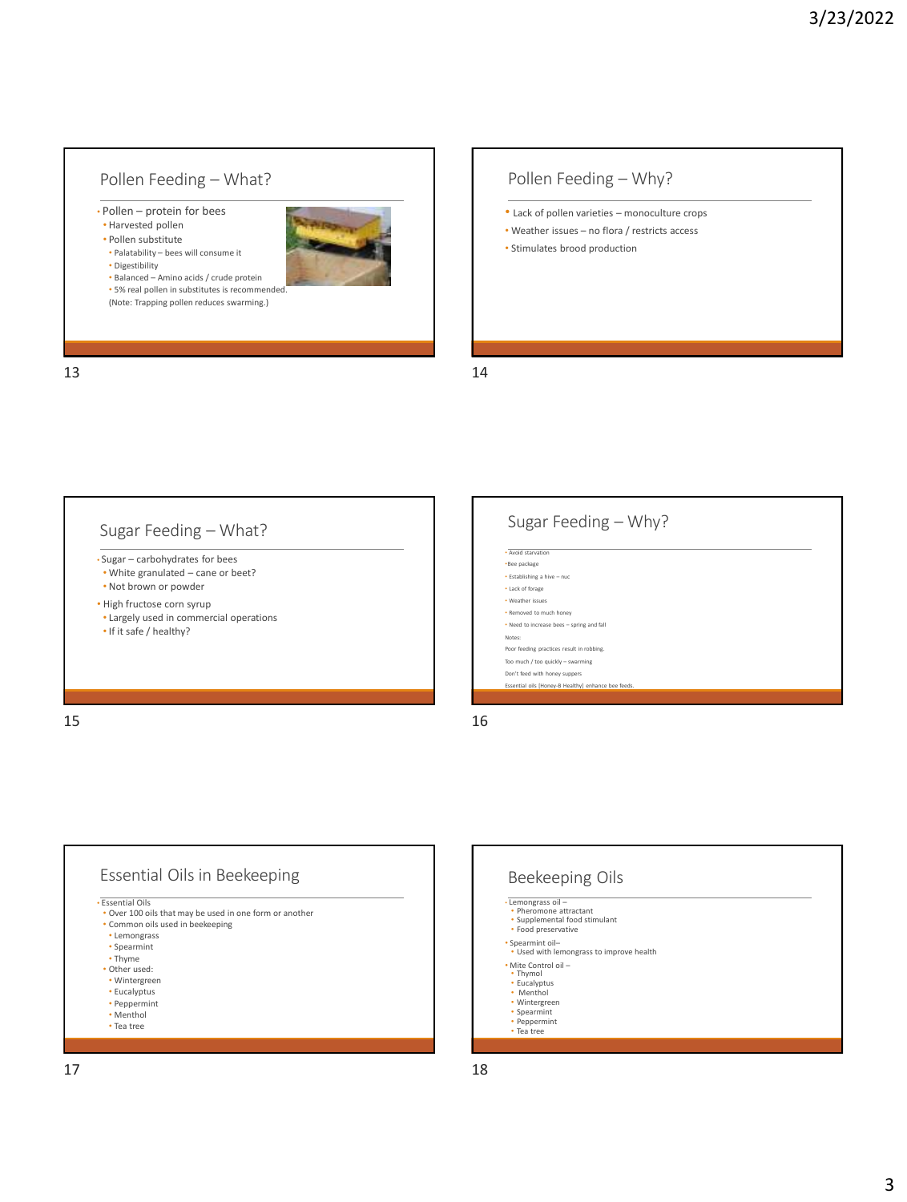#### Pollen Feeding – What?

• Pollen – protein for bees • Harvested pollen

• Palatability – bees will consume it

• Pollen substitute

• Digestibility



• Balanced – Amino acids / crude protein • 5% real pollen in substitutes is recommende

(Note: Trapping pollen reduces swarming.)

## Pollen Feeding – Why?

- Lack of pollen varieties monoculture crops
- Weather issues no flora / restricts access
- Stimulates brood production

13 14

#### Sugar Feeding – What?

- Sugar carbohydrates for bees • White granulated – cane or beet?
- Not brown or powder
- High fructose corn syrup
- Largely used in commercial operations • If it safe / healthy?

Sugar Feeding – Why? • Avoid stancetic •Bee package • Establishing a hive – nuc • Lack of forage • Weather issues • Removed to much honey • Need to increase bees – spring and fall Notes: Poor feeding practices result in robbing. Too much / too quickly – swarming Don't feed with honey suppers Essential oils [Honey-B Healthy] enhance bee fee

 $15$  and  $16$ 





 $17$  and  $18$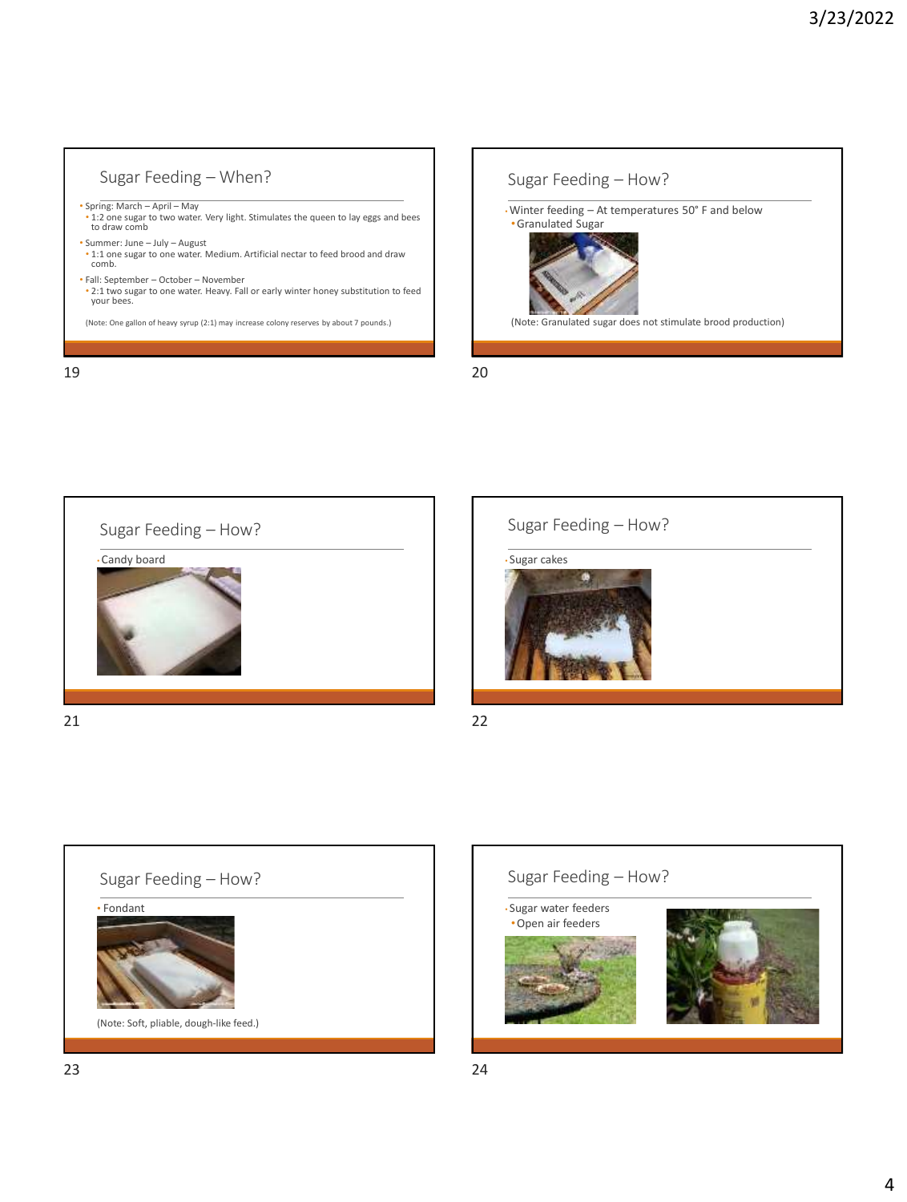#### Sugar Feeding – When? • Spring: March – April – May • 1:2 one sugar to two water. Very light. Stimulates the queen to lay eggs and bees to draw comb • Summer: June – July – August • 1:1 one sugar to one water. Medium. Artificial nectar to feed brood and draw comb. • Fall: September – October – November • 2:1 two sugar to one water. Heavy. Fall or early winter honey substitution to feed your bees. (Note: One gallon of heavy syrup (2:1) may increase colony reserves by about 7 pounds.) 19 20









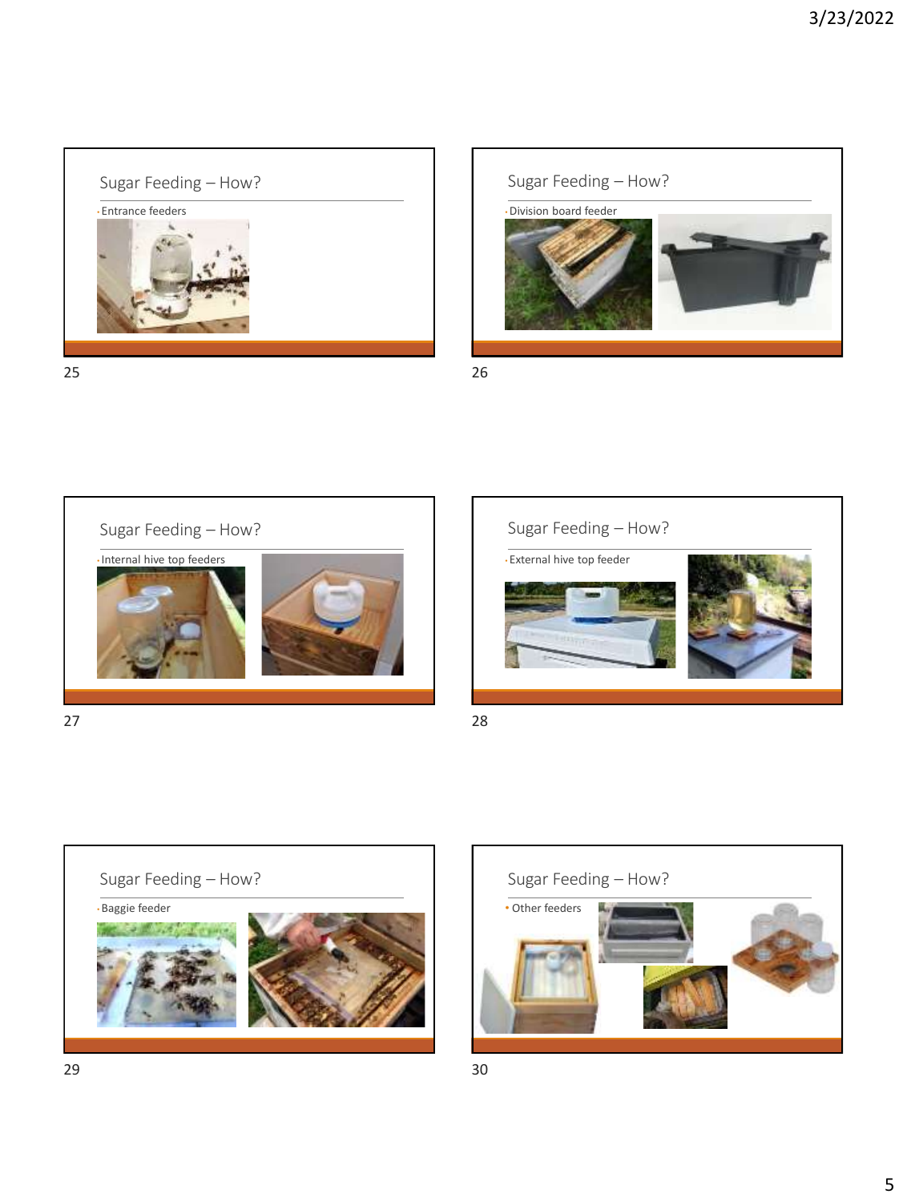

25 26